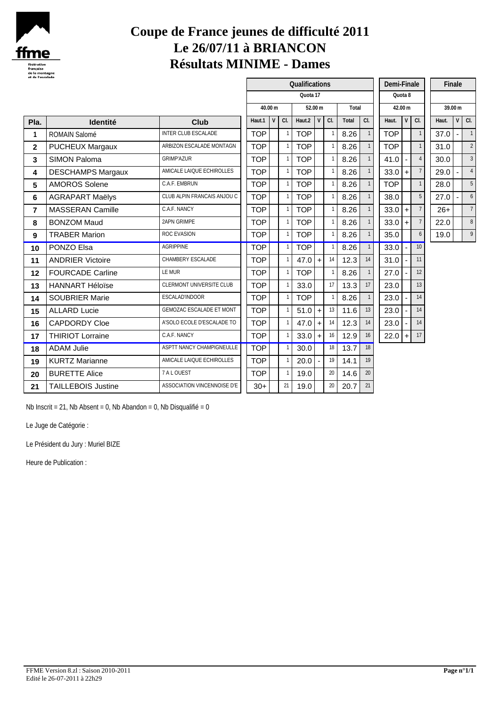

## **Coupe de France jeunes de difficulté 2011 Le 26/07/11 à BRIANCON Résultats MINIME - Dames**

|                |                           |                             |            |                     |              | Qualifications |                |              | Demi-Finale |                | Finale     |  |           |                 |         |                |                          |
|----------------|---------------------------|-----------------------------|------------|---------------------|--------------|----------------|----------------|--------------|-------------|----------------|------------|--|-----------|-----------------|---------|----------------|--------------------------|
|                |                           |                             |            |                     |              | Quota 17       | Quota 8        |              |             |                |            |  |           |                 |         |                |                          |
|                |                           |                             |            | 40.00 m             |              |                | 52.00 m        |              | Total       |                | 42.00 m    |  |           |                 | 39.00 m |                |                          |
| Pla.           | <b>Identité</b>           | Club                        | Haut.1     | $\mathsf{V}$<br>CI. |              | Haut.2         | V              | CI.          | Total       | CL             | Haut.      |  |           | $V$ CI.         | Haut.   |                | $V$ CI.                  |
| 1              | <b>ROMAIN Salomé</b>      | <b>INTER CLUB ESCALADE</b>  | <b>TOP</b> |                     |              | <b>TOP</b>     |                |              | 8.26        | $\overline{1}$ | <b>TOP</b> |  |           | $\mathbf{1}$    | 37.0    | $\blacksquare$ | $\overline{\phantom{0}}$ |
| $\overline{2}$ | PUCHEUX Margaux           | ARBIZON ESCALADE MONTAGN    | <b>TOP</b> |                     | 1            | <b>TOP</b>     |                | $\mathbf{1}$ | 8.26        | $\mathbf{1}$   | <b>TOP</b> |  |           | $\mathbf{1}$    | 31.0    |                | $\tilde{z}$              |
| 3              | <b>SIMON Paloma</b>       | <b>GRIMP'AZUR</b>           | <b>TOP</b> |                     | 1            | <b>TOP</b>     |                |              | 8.26        | $\mathbf{1}$   | 41.0       |  |           | $\overline{4}$  | 30.0    |                | þ                        |
| 4              | <b>DESCHAMPS Margaux</b>  | AMICALE LAIQUE ECHIROLLES   | <b>TOP</b> |                     | 1            | <b>TOP</b>     |                |              | 8.26        | $\mathbf{1}$   | 33.0       |  | $\ddot{}$ | $7\overline{ }$ | 29.0    |                | $\lambda$                |
| 5              | <b>AMOROS Solene</b>      | C.A.F. EMBRUN               | <b>TOP</b> |                     |              | <b>TOP</b>     |                |              | 8.26        | $\mathbf{1}$   | <b>TOP</b> |  |           | $\mathbf{1}$    | 28.0    |                | ŗ                        |
| 6              | <b>AGRAPART Maëlys</b>    | CLUB ALPIN FRANCAIS ANJOU C | <b>TOP</b> |                     |              | <b>TOP</b>     |                |              | 8.26        | $\mathbf{1}$   | 38.0       |  |           | 5               | 27.0    |                | $\epsilon$               |
| $\overline{7}$ | <b>MASSERAN Camille</b>   | C.A.F. NANCY                | <b>TOP</b> |                     |              | <b>TOP</b>     |                |              | 8.26        | $\mathbf{1}$   | 33.0       |  | $\ddot{}$ | $7\overline{ }$ | $26+$   |                | ū                        |
| 8              | <b>BONZOM Maud</b>        | <b>2APN GRIMPE</b>          | <b>TOP</b> |                     |              | <b>TOP</b>     |                |              | 8.26        | $\mathbf{1}$   | 33.0       |  | $\ddot{}$ | 7               | 22.0    |                | ę                        |
| 9              | <b>TRABER Marion</b>      | ROC EVASION                 | <b>TOP</b> |                     |              | <b>TOP</b>     |                |              | 8.26        | $\mathbf{1}$   | 35.0       |  |           | 6               | 19.0    |                | Ç                        |
| 10             | PONZO Elsa                | <b>AGRIPPINE</b>            | <b>TOP</b> |                     |              | <b>TOP</b>     |                |              | 8.26        | $\mathbf{1}$   | 33.0       |  |           | 10              |         |                |                          |
| 11             | <b>ANDRIER Victoire</b>   | CHAMBERY ESCALADE           | <b>TOP</b> |                     |              | 47.0           | $\overline{+}$ | 14           | 12.3        | 14             | 31.0       |  |           | 11              |         |                |                          |
| 12             | <b>FOURCADE Carline</b>   | LE MUR                      | <b>TOP</b> |                     | $\mathbf{1}$ | <b>TOP</b>     |                |              | 8.26        | $\mathbf{1}$   | 27.0       |  |           | 12              |         |                |                          |
| 13             | <b>HANNART Héloïse</b>    | CLERMONT UNIVERSITE CLUB    | <b>TOP</b> |                     |              | 33.0           |                | 17           | 13.3        | 17             | 23.0       |  |           | 13              |         |                |                          |
| 14             | <b>SOUBRIER Marie</b>     | ESCALAD'INDOOR              | <b>TOP</b> |                     |              | <b>TOP</b>     |                | $\mathbf{1}$ | 8.26        | $\mathbf{1}$   | 23.0       |  |           | 14              |         |                |                          |
| 15             | <b>ALLARD Lucie</b>       | GEMOZAC ESCALADE ET MONT    | <b>TOP</b> |                     |              | 51.0           | $+$            | 13           | 11.6        | 13             | 23.0       |  |           | 14              |         |                |                          |
| 16             | <b>CAPDORDY Cloe</b>      | A'SOLO ECOLE D'ESCALADE TO  | <b>TOP</b> |                     |              | 47.0           | $\ddot{+}$     | 14           | 12.3        | 14             | 23.0       |  |           | 14              |         |                |                          |
| 17             | <b>THIRIOT Lorraine</b>   | C.A.F. NANCY                | <b>TOP</b> |                     |              | 33.0           | $\ddot{}$      | 16           | 12.9        | 16             | 22.0       |  | $\ddot{}$ | 17              |         |                |                          |
| 18             | <b>ADAM Julie</b>         | ASPTT NANCY CHAMPIGNEULLE   | <b>TOP</b> |                     |              | 30.0           |                | 18           | 13.7        | 18             |            |  |           |                 |         |                |                          |
| 19             | <b>KURTZ Marianne</b>     | AMICALE LAIQUE ECHIROLLES   | <b>TOP</b> |                     |              | 20.0           | $\sim$         | 19           | 14.1        | 19             |            |  |           |                 |         |                |                          |
| 20             | <b>BURETTE Alice</b>      | 7 A L OUEST                 | <b>TOP</b> |                     |              | 19.0           |                | 20           | 14.6        | 20             |            |  |           |                 |         |                |                          |
| 21             | <b>TAILLEBOIS Justine</b> | ASSOCIATION VINCENNOISE D'E | $30+$      |                     | 21           | 19.0           |                | 20           | 20.7        | 21             |            |  |           |                 |         |                |                          |

Nb Inscrit = 21, Nb Absent = 0, Nb Abandon = 0, Nb Disqualifié = 0

Le Juge de Catégorie :

Le Président du Jury : Muriel BIZE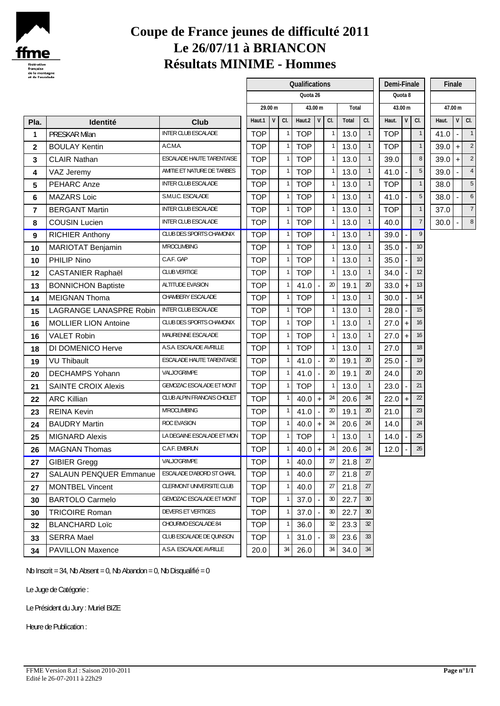

### **Coupe de France jeunes de difficulté 2011 Le 26/07/11 à BRIANCON Résultats MINIME - Hommes**

| et de l'escalade |                                |                            |            |         |              |                |         |                |             |                          |            |           |                 |       |                             |            |
|------------------|--------------------------------|----------------------------|------------|---------|--------------|----------------|---------|----------------|-------------|--------------------------|------------|-----------|-----------------|-------|-----------------------------|------------|
|                  |                                |                            |            |         |              | Qualifications |         |                | Demi-Finale |                          | Finale     |           |                 |       |                             |            |
|                  |                                |                            |            |         |              | Quota 26       |         |                |             | Quota 8                  |            |           |                 |       |                             |            |
|                  |                                |                            |            | 29.00 m |              |                | 43.00 m |                | Total       |                          |            | 43.00 m   |                 |       | 47.00 m                     |            |
| Pla.             | Identité                       | <b>Club</b>                | Haut.1     | V       | CI.          | Haut.2         | V       | CI.            | Total       | CI.                      | Haut.      | V         | CI.             | Haut. |                             | $V$ CI.    |
| $\mathbf{1}$     | PRESKAR Milan                  | <b>INTER CLUB ESCALADE</b> | <b>TOP</b> |         |              | <b>TOP</b>     |         | $\overline{1}$ | 13.0        | $\mathbf{1}$             | <b>TOP</b> |           | $\mathbf{1}$    | 41.0  | $\mathcal{L}_{\mathcal{A}}$ |            |
| $\mathbf{2}$     | <b>BOULAY Kentin</b>           | A.C.M.A.                   | <b>TOP</b> |         |              | <b>TOP</b>     |         | $\mathbf{1}$   | 13.0        | $\overline{1}$           | <b>TOP</b> |           | $\mathbf{1}$    | 39.0  | $+$                         | $\sim$ 2   |
| 3                | CLAIR Nathan                   | ESCALADE HAUTE TARENTAISE  | <b>TOP</b> |         |              | <b>TOP</b>     |         | $\overline{1}$ | 13.0        | $\mathbf{1}$             | 39.0       |           | $\,8\,$         | 39.0  | $\pm$                       | ź          |
| 4                | VAZ Jeremy                     | AMITIE ET NATURE DE TARBES | <b>TOP</b> |         |              | <b>TOP</b>     |         | $\overline{1}$ | 13.0        | $\mathbf{1}$             | 41.0       |           | $\overline{5}$  | 39.0  |                             |            |
| $5\phantom{.0}$  | PEHARC Anze                    | <b>INTER CLUB ESCALADE</b> | <b>TOP</b> |         |              | <b>TOP</b>     |         | $\overline{1}$ | 13.0        | $\mathbf{1}$             | <b>TOP</b> |           | $\mathbf{1}$    | 38.0  |                             | ŗ          |
| 6                | <b>MAZARS Loic</b>             | S.M.U.C. ESCALADE          | <b>TOP</b> |         |              | <b>TOP</b>     |         |                | 13.0        | $\overline{1}$           | 41.0       |           | $5\phantom{.0}$ | 38.0  |                             | $\epsilon$ |
| $\overline{7}$   | <b>BERGANT Martin</b>          | INTER CLUB ESCALADE        | <b>TOP</b> |         |              | <b>TOP</b>     |         | $\overline{1}$ | 13.0        | $\mathbf{1}$             | <b>TOP</b> |           | $\mathbf{1}$    | 37.0  |                             | Ĵ          |
| 8                | <b>COUSIN Lucien</b>           | <b>INTER CLUB ESCALADE</b> | <b>TOP</b> |         |              | <b>TOP</b>     |         | $\overline{1}$ | 13.0        | $\mathbf{1}$             | 40.0       |           | $\overline{7}$  | 30.0  | $\sim$                      | $\{$       |
| $\boldsymbol{9}$ | <b>RICHIER Anthony</b>         | CLUB DES SPORTS CHAMONIX   | <b>TOP</b> |         |              | <b>TOP</b>     |         | $\overline{1}$ | 13.0        | $\overline{\phantom{a}}$ | 39.0       |           | 9               |       |                             |            |
| 10               | MARIOTAT Benjamin              | M'ROCLIMBING               | <b>TOP</b> |         |              | <b>TOP</b>     |         | $\mathbf{1}$   | 13.0        | $\mathbf{1}$             | 35.0       |           | 10 <sup>°</sup> |       |                             |            |
| 10               | PHILIP Nino                    | C.A.F. GAP                 | <b>TOP</b> |         |              | <b>TOP</b>     |         | $\overline{1}$ | 13.0        | $\mathbf{1}$             | 35.0       |           | 10 <sup>°</sup> |       |                             |            |
| 12               | <b>CASTANIER Raphaël</b>       | <b>CLUB VERTIGE</b>        | <b>TOP</b> |         |              | <b>TOP</b>     |         | $\overline{1}$ | 13.0        | $\overline{1}$           | 34.0       |           | 12              |       |                             |            |
| 13               | <b>BONNICHON Baptiste</b>      | ALTITUDE EVASION           | <b>TOP</b> |         |              | 41.0           |         | 20             | 19.1        | 20                       | 33.0       | $+$       | 13              |       |                             |            |
| 14               | <b>MEIGNAN Thoma</b>           | CHAMBERY ESCALADE          | <b>TOP</b> |         |              | <b>TOP</b>     |         | $\overline{1}$ | 13.0        | $\mathbf{1}$             | 30.0       |           | 14              |       |                             |            |
| 15               | <b>LAGRANGE LANASPRE Robin</b> | INTER CLUB ESCALADE        | <b>TOP</b> |         |              | <b>TOP</b>     |         | $\overline{1}$ | 13.0        | $\mathbf{1}$             | 28.0       |           | 15              |       |                             |            |
| 16               | <b>MOLLIER LION Antoine</b>    | CLUB DES SPORTS CHAMONIX   | <b>TOP</b> |         |              | <b>TOP</b>     |         | $\overline{1}$ | 13.0        | $\mathbf{1}$             | 27.0       | $\ddot{}$ | 16              |       |                             |            |
| 16               | <b>VALET Robin</b>             | MAURIENNE ESCALADE         | <b>TOP</b> |         |              | <b>TOP</b>     |         | $\overline{1}$ | 13.0        | $\mathbf{1}$             | 27.0       | $+$       | 16              |       |                             |            |
| 18               | DI DOMENICO Herve              | A.S.A. ESCALADE AVRILLE    | <b>TOP</b> |         |              | <b>TOP</b>     |         | $\overline{1}$ | 13.0        | $\mathbf{1}$             | 27.0       |           | 18              |       |                             |            |
| 19               | <b>VU Thibault</b>             | ESCALADE HAUTE TARENTAISE  | <b>TOP</b> |         | $\mathbf{1}$ | 41.0           |         | 20             | 19.1        | 20                       | 25.0       |           | 19              |       |                             |            |
| 20               | <b>DECHAMPS Yohann</b>         | VALJO'GRIMPE               | <b>TOP</b> |         |              | 41.0           |         | 20             | 19.1        | 20                       | 24.0       |           | 20              |       |                             |            |
| 21               | <b>SAINTE CROIX Alexis</b>     | GEMOZAC ESCALADE ET MONT   | <b>TOP</b> |         |              | <b>TOP</b>     |         | $\overline{1}$ | 13.0        | $\overline{1}$           | 23.0       |           | 21              |       |                             |            |
| 22               | <b>ARC Killian</b>             | CLUB ALPIN FRANCAIS CHOLET | <b>TOP</b> |         |              | $40.0 +$       |         | 24             | 20.6        | 24                       | 22.0       |           | 22              |       |                             |            |
| 23               | <b>REINA Kevin</b>             | <b>M'ROCLIMBING</b>        | <b>TOP</b> |         |              | 41.0           |         | 20             | 19.1        | 20                       | 21.0       |           | 23              |       |                             |            |
| 24               | <b>BAUDRY Martin</b>           | ROC EVASION                | <b>TOP</b> |         |              | 40.0           | $+$     | 24             | 20.6        | 24                       | 14.0       |           | 24              |       |                             |            |
| 25               | <b>MIGNARD Alexis</b>          | LA DEGAINE ESCALADE ET MON | <b>TOP</b> |         |              | <b>TOP</b>     |         | $\overline{1}$ | 13.0        | $\overline{1}$           | 14.0       |           | 25              |       |                             |            |
| 26               | <b>MAGNAN Thomas</b>           | C.A.F. EMBRUN              | <b>TOP</b> |         | $\mathbf{1}$ | $40.0 +$       |         | 24             | 20.6        | 24                       | 12.0       |           | 26              |       |                             |            |
| 27               | <b>GIBIER Gregg</b>            | VALJO'GRIMPE               | <b>TOP</b> |         | 1            | 40.0           |         | 27             | 21.8        | 27                       |            |           |                 |       |                             |            |
| 27               | <b>SALAUN PENQUER Emmanue</b>  | ESCALADE D'ABORD ST CHARL  | <b>TOP</b> |         |              | 40.0           |         | 27             | 21.8        | 27                       |            |           |                 |       |                             |            |
| 27               | <b>MONTBEL Vincent</b>         | CLERMONT UNIVERSITE CLUB   | <b>TOP</b> |         | 1            | 40.0           |         | 27             | 21.8        | 27                       |            |           |                 |       |                             |            |
| 30               | <b>BARTOLO Carmelo</b>         | GEMOZAC ESCALADE ET MONT   | <b>TOP</b> |         |              | 37.0           |         | 30             | 22.7        | 30 <sup>°</sup>          |            |           |                 |       |                             |            |
| 30               | <b>TRICOIRE Roman</b>          | DEVERS ET VERTIGES         | <b>TOP</b> |         |              | 37.0           |         | 30             | 22.7        | 30 <sup>°</sup>          |            |           |                 |       |                             |            |
| 32               | <b>BLANCHARD Loïc</b>          | CHOURMO ESCALADE 84        | <b>TOP</b> |         |              | 36.0           |         | 32             | 23.3        | 32                       |            |           |                 |       |                             |            |
| 33               | <b>SERRA Mael</b>              | CLUB ESCALADE DE QUINSON   | <b>TOP</b> |         |              | 31.0           |         | 33             | 23.6        | 33                       |            |           |                 |       |                             |            |
| 34               | <b>PAVILLON Maxence</b>        | A.S.A. ESCALADE AVRILLE    | 20.0       |         | 34           | 26.0           |         | 34             | 34.0        | 34                       |            |           |                 |       |                             |            |

Nb Inscrit = 34, Nb Absent = 0, Nb Abandon = 0, Nb Disqualifié = 0

Le Juge de Catégorie :

Le Président du Jury : Muriel BIZE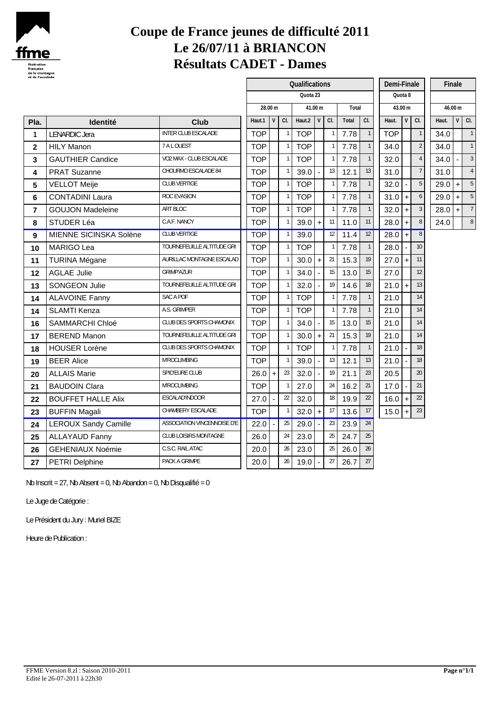

## **Coupe de France jeunes de difficulté 2011 Le 26/07/11 à BRIANCON Résultats CADET - Dames**

|                |                           |                             |            |                    |    | Qualifications | Demi-Finale               |                |         | Finale         |            |           |                 |          |                          |                         |
|----------------|---------------------------|-----------------------------|------------|--------------------|----|----------------|---------------------------|----------------|---------|----------------|------------|-----------|-----------------|----------|--------------------------|-------------------------|
|                |                           |                             |            |                    |    | Quota 23       |                           |                | Quota 8 |                |            |           |                 |          |                          |                         |
|                |                           |                             |            | 28.00 m            |    |                | 41.00 m<br>$\overline{V}$ |                | Total   |                |            | 43.00 m   |                 |          | 46.00 m                  |                         |
| Pla.           | Identité                  | Club                        | Haut.1     | V<br>CI.<br>Haut.2 |    |                |                           | CI.            | Total   | CI.            | Haut.      | V         | CI.             | Haut.    |                          | $V$ CI.                 |
| 1              | <b>LENARDIC Jera</b>      | INTER CLUB ESCALADE         | <b>TOP</b> |                    |    | <b>TOP</b>     |                           | $\overline{1}$ | 7.78    | $\mathbf{1}$   | <b>TOP</b> |           | $\mathbf{1}$    | 34.0     |                          |                         |
| $\overline{2}$ | <b>HILY Manon</b>         | 7 A L OUEST                 | <b>TOP</b> |                    |    | <b>TOP</b>     |                           | $\overline{1}$ | 7.78    | $\overline{1}$ | 34.0       |           | $\overline{2}$  | 34.0     |                          | $\overline{1}$          |
| 3              | <b>GAUTHIER Candice</b>   | VO2 MAX - CLUB ESCALADE     | <b>TOP</b> |                    |    | <b>TOP</b>     |                           | $\overline{1}$ | 7.78    | 1              | 32.0       |           | $\overline{4}$  | 34.0     | $\overline{\phantom{a}}$ | $\ddot{\cdot}$          |
| 4              | <b>PRAT Suzanne</b>       | CHOURMO ESCALADE 84         | <b>TOP</b> |                    |    | 39.0           |                           | 13             | 12.1    | 13             | 31.0       |           | $\overline{7}$  | 31.0     |                          |                         |
| 5              | <b>VELLOT Meije</b>       | <b>CLUB VERTIGE</b>         | <b>TOP</b> |                    |    | <b>TOP</b>     |                           | $\overline{1}$ | 7.78    | $\mathbf{1}$   | 32.0       |           | $5\phantom{.}$  | 29.0     | $+$                      | $\overline{\mathbf{r}}$ |
| 6              | <b>CONTADINI Laura</b>    | ROC EVASION                 | <b>TOP</b> |                    |    | <b>TOP</b>     |                           | $\overline{1}$ | 7.78    | $\mathbf{1}$   | 31.0       | $\ddot{}$ | $\mathfrak b$   | 29.0     | $+$                      | ŗ                       |
| 7              | <b>GOUJON Madeleine</b>   | ART BLOC                    | <b>TOP</b> |                    | 1  | <b>TOP</b>     |                           | $\overline{1}$ | 7.78    | $\overline{1}$ | 32.0       | $\ddot{}$ | $\mathbf{3}$    | $28.0 +$ |                          | $\overline{1}$          |
| 8              | STUDER Léa                | C.A.F. NANCY                | <b>TOP</b> |                    |    | 39.0           | $\ddot{+}$                | 11             | 11.0    | 11             | 28.0       | $\ddot{}$ | 8               | 24.0     |                          | $\epsilon$              |
| $\overline{9}$ | MIENNE SICINSKA Solène    | <b>CLUB VERTIGE</b>         | <b>TOP</b> |                    |    | 39.0           |                           | 12             | 11.4    | 12             | 28.0       | $+$       | 8               |          |                          |                         |
| 10             | <b>MARIGO Lea</b>         | TOURNEFEUILLE ALTITUDE GRI  | <b>TOP</b> |                    |    | <b>TOP</b>     |                           | $\overline{1}$ | 7.78    | $\overline{1}$ | 28.0       |           | 10              |          |                          |                         |
| 11             | <b>TURINA Mégane</b>      | AURILLAC MONTAGNE ESCALAD   | <b>TOP</b> |                    |    | 30.0           | $\ddot{+}$                | 21             | 15.3    | 19             | 27.0       | $\ddot{}$ | 11              |          |                          |                         |
| 12             | <b>AGLAE Julie</b>        | <b>GRIMP'AZUR</b>           | <b>TOP</b> |                    |    | 34.0           |                           | 15             | 13.0    | 15             | 27.0       |           | 12 <sup>°</sup> |          |                          |                         |
| 13             | <b>SONGEON Julie</b>      | TOURNEFEUILLE ALTITUDE GRI  | <b>TOP</b> |                    |    | 32.0           |                           | 19             | 14.6    | 18             | 21.0       | $+$       | 13              |          |                          |                         |
| 14             | <b>ALAVOINE Fanny</b>     | SAC A POF                   | <b>TOP</b> |                    |    | <b>TOP</b>     |                           | $\overline{1}$ | 7.78    | $\mathbf{1}$   | 21.0       |           | 14              |          |                          |                         |
| 14             | <b>SLAMTI Kenza</b>       | A.S. GRIMPER                | <b>TOP</b> |                    |    | <b>TOP</b>     |                           | $\mathbf{1}$   | 7.78    | $\mathbf{1}$   | 21.0       |           | 14              |          |                          |                         |
| 16             | <b>SAMMARCHI Chloé</b>    | CLUB DES SPORTS CHAMONIX    | <b>TOP</b> |                    |    | 34.0           |                           | 15             | 13.0    | 15             | 21.0       |           | 14              |          |                          |                         |
| 17             | <b>BEREND Manon</b>       | TOURNEFEUILLE ALTITUDE GRI  | <b>TOP</b> |                    |    | 30.0           | $\ddot{+}$                | 21             | 15.3    | 19             | 21.0       |           | 14              |          |                          |                         |
| 18             | <b>HOUSER Lorène</b>      | CLUB DES SPORTS CHAMONIX    | <b>TOP</b> |                    |    | <b>TOP</b>     |                           | $\overline{1}$ | 7.78    | $\overline{1}$ | 21.0       |           | 18              |          |                          |                         |
| 19             | <b>BEER Alice</b>         | <b>M'ROCLIMBING</b>         | <b>TOP</b> |                    |    | 39.0           |                           | 13             | 12.1    | 13             | 21.0       |           | 18              |          |                          |                         |
| 20             | <b>ALLAIS Marie</b>       | SPID'EURE CLUB              | 26.0       | $\ddot{}$          | 23 | 32.0           |                           | 19             | 21.1    | 23             | 20.5       |           | 20              |          |                          |                         |
| 21             | <b>BAUDOIN Clara</b>      | M'ROCLIMBING                | <b>TOP</b> |                    |    | 27.0           |                           | 24             | 16.2    | 21             | 17.0       |           | 21              |          |                          |                         |
| 22             | <b>BOUFFET HALLE Alix</b> | ESCALAD'INDOOR              | 27.0       |                    | 22 | 32.0           |                           | 18             | 19.9    | 22             | 16.0       | $+$       | 22              |          |                          |                         |
| 23             | <b>BUFFIN Magali</b>      | CHAMBERY ESCALADE           | <b>TOP</b> |                    |    | 32.0           | $+$                       | 17             | 13.6    | 17             | 15.0       | $+$       | 23              |          |                          |                         |
| 24             | LEROUX Sandy Camille      | ASSOCIATION VINCENNOISE D'E | 22.0       |                    | 25 | 29.0           |                           | 23             | 23.9    | 24             |            |           |                 |          |                          |                         |
| 25             | <b>ALLAYAUD Fanny</b>     | CLUB LOISIRS MONTAGNE       | 26.0       |                    | 24 | 23.0           |                           | 25             | 24.7    | 25             |            |           |                 |          |                          |                         |
| 26             | <b>GEHENIAUX Noémie</b>   | C.S.C. RAIL ATAC            | 20.0       |                    | 26 | 23.0           |                           | 25             | 26.0    | 26             |            |           |                 |          |                          |                         |
| 27             | PETRI Delphine            | PACK A GRIMPE               | 20.0       |                    | 26 | 19.0           |                           | 27             | 26.7    | 27             |            |           |                 |          |                          |                         |
|                |                           |                             |            |                    |    |                |                           |                |         |                |            |           |                 |          |                          |                         |

Nb Inscrit = 27, Nb Absent = 0, Nb Abandon = 0, Nb Disqualifié = 0

Le Juge de Catégorie :

Le Président du Jury : Muriel BIZE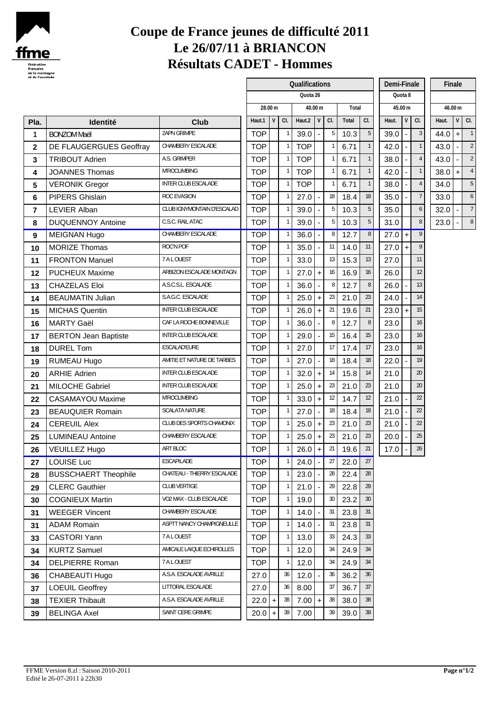

# **Coupe de France jeunes de difficulté 2011 Le 26/07/11 à BRIANCON Résultats CADET - Hommes**

|                |                             |                            |            |   |     | Qualifications |           |                | Demi-Finale |                | Finale |         |                                   |         |                |                          |
|----------------|-----------------------------|----------------------------|------------|---|-----|----------------|-----------|----------------|-------------|----------------|--------|---------|-----------------------------------|---------|----------------|--------------------------|
|                |                             |                            |            |   |     | Quota 26       |           |                |             |                |        | Quota 8 |                                   |         |                |                          |
|                |                             |                            | 28.00 m    |   |     | 40.00 m        |           |                | Total       |                |        | 45.00 m |                                   | 46.00 m |                |                          |
| Pla.           | Identité                    | Club                       | Haut.1     | V | CI. | Haut.2         | V         | CI.            | Total       | CI.            | Haut.  | v       | CI.                               | Haut.   |                | $V$ CI.                  |
| $\mathbf{1}$   | <b>BONZOM Maël</b>          | 2APN GRIMPE                | <b>TOP</b> |   |     | 39.0           |           | 5              | 10.3        | $\overline{5}$ | 39.0   |         | $\overline{3}$                    | 44.0    | $+$            | $\overline{\phantom{0}}$ |
| $\mathbf{2}$   | DE FLAUGERGUES Geoffray     | CHAMBERY ESCALADE          | <b>TOP</b> |   |     | <b>TOP</b>     |           | $\overline{1}$ | 6.71        | $\mathbf{1}$   | 42.0   |         | $\mathbf{1}$                      | 43.0    | $\blacksquare$ | $\tilde{z}$              |
| 3              | <b>TRIBOUT Adrien</b>       | A.S. GRIMPER               | <b>TOP</b> |   |     | <b>TOP</b>     |           | $\overline{1}$ | 6.71        | $\mathbf{1}$   | 38.0   |         | $\overline{4}$                    | 43.0    | $\blacksquare$ | $\tilde{z}$              |
| 4              | <b>JOANNES Thomas</b>       | M'ROCLIMBING               | <b>TOP</b> |   |     | <b>TOP</b>     |           | $\overline{1}$ | 6.71        | $\mathbf{1}$   | 42.0   |         | $\mathbf{1}$                      | 38.0    | $\pm$          |                          |
| 5              | <b>VERONIK Gregor</b>       | INTER CLUB ESCALADE        | <b>TOP</b> |   |     | <b>TOP</b>     |           | $\overline{1}$ | 6.71        | $\mathbf{1}$   | 38.0   |         | $\overline{4}$                    | 34.0    |                | $\overline{\mathbf{r}}$  |
| 6              | <b>PIPERS Ghislain</b>      | ROC EVASION                | <b>TOP</b> |   |     | 27.0           |           | 18             | 18.4        | 18             | 35.0   |         | $\overline{7}$                    | 33.0    |                | $\epsilon$               |
| $\overline{7}$ | <b>LEVIER Alban</b>         | CLUB IGNYMONTAIN D'ESCALAD | <b>TOP</b> |   |     | 39.0           |           | 5              | 10.3        | 5              | 35.0   |         | $\mathfrak b$                     | 32.0    | $\sim$         | $\bar{1}$                |
| 8              | <b>DUQUENNOY Antoine</b>    | C.S.C. RAIL ATAC           | <b>TOP</b> |   |     | 39.0           |           | 5              | 10.3        | 5              | 31.0   |         | $\,8\,$                           | 23.0    | $\sim$         | $\{$                     |
| 9              | <b>MEIGNAN Hugo</b>         | CHAMBERY ESCALADE          | <b>TOP</b> |   |     | 36.0           | ÷,        | 8              | 12.7        | 8              | 27.0   | $\pm$   | $\mathsf{g}% _{T}=\mathsf{g}_{T}$ |         |                |                          |
| 10             | <b>MORIZE Thomas</b>        | ROC'N POF                  | <b>TOP</b> |   |     | 35.0           | ä,        | 11             | 14.0        | 11             | 27.0   | $+$     | $\overline{9}$                    |         |                |                          |
| 11             | <b>FRONTON Manuel</b>       | 7 A L OUEST                | <b>TOP</b> |   |     | 33.0           |           | 13             | 15.3        | 13             | 27.0   |         | 11                                |         |                |                          |
| 12             | <b>PUCHEUX Maxime</b>       | ARBIZON ESCALADE MONTAGN   | <b>TOP</b> |   |     | 27.0           | $+$       | 16             | 16.9        | 16             | 26.0   |         | 12                                |         |                |                          |
| 13             | <b>CHAZELAS Eloi</b>        | A.S.C.S.L. ESCALADE        | <b>TOP</b> |   |     | 36.0           |           | 8              | 12.7        | 8              | 26.0   |         | 13                                |         |                |                          |
| 14             | <b>BEAUMATIN Julian</b>     | S.A.G.C. ESCALADE          | <b>TOP</b> |   |     | 25.0           | $+$       | 23             | 21.0        | 23             | 24.0   |         | 14                                |         |                |                          |
| 15             | <b>MICHAS Quentin</b>       | INTER CLUB ESCALADE        | <b>TOP</b> |   |     | 26.0           | $+$       | 21             | 19.6        | 21             | 23.0   | $+$     | 15                                |         |                |                          |
| 16             | <b>MARTY Gaël</b>           | CAF LA ROCHE BONNEVILLE    | <b>TOP</b> |   |     | 36.0           |           | 8              | 12.7        | 8              | 23.0   |         | 16                                |         |                |                          |
| 17             | <b>BERTON Jean Baptiste</b> | INTER CLUB ESCALADE        | <b>TOP</b> |   |     | 29.0           |           | 15             | 16.4        | 15             | 23.0   |         | 16                                |         |                |                          |
| 18             | <b>DUREL Tom</b>            | ESCALAD'EURE               | <b>TOP</b> |   |     | 27.0           |           | 17             | 17.4        | 17             | 23.0   |         | 16                                |         |                |                          |
| 19             | RUMEAU Hugo                 | AMITIE ET NATURE DE TARBES | <b>TOP</b> |   |     | 27.0           |           | 18             | 18.4        | 18             | 22.0   |         | 19                                |         |                |                          |
| 20             | <b>ARHIE Adrien</b>         | INTER CLUB ESCALADE        | <b>TOP</b> |   |     | 32.0           | $+$       | 14             | 15.8        | 14             | 21.0   |         | 20                                |         |                |                          |
| 21             | <b>MILOCHE Gabriel</b>      | INTER CLUB ESCALADE        | <b>TOP</b> |   |     | 25.0           | $+$       | 23             | 21.0        | 23             | 21.0   |         | 20                                |         |                |                          |
| 22             | <b>CASAMAYOU Maxime</b>     | M'ROCLIMBING               | <b>TOP</b> |   |     | 33.0           | $+$       | 12             | 14.7        | 12             | 21.0   |         | 22                                |         |                |                          |
| 23             | <b>BEAUQUIER Romain</b>     | <b>SCALATA NATURE</b>      | <b>TOP</b> |   |     | 27.0           |           | 18             | 18.4        | 18             | 21.0   |         | 22                                |         |                |                          |
| 24             | <b>CEREUIL Alex</b>         | CLUB DES SPORTS CHAMONIX   | <b>TOP</b> |   |     | 25.0           | $\pm$     | 23             | 21.0        | 23             | 21.0   |         | 22                                |         |                |                          |
| 25             | <b>LUMINEAU Antoine</b>     | CHAMBERY ESCALADE          | <b>TOP</b> |   |     | 25.0           | $\ddot{}$ | 23             | 21.0        | 23             | 20.0   |         | 25                                |         |                |                          |
| 26             | <b>VEUILLEZ Hugo</b>        | ART BLOC                   | <b>TOP</b> |   |     | 26.0           | $\ddot{}$ | 21             | 19.6        | 21             | 17.0   |         | 26                                |         |                |                          |
| 27             | <b>LOUISE Luc</b>           | <b>ESCAPILADE</b>          | <b>TOP</b> |   |     | $24.0$ -       |           | 27             | 22.0        | 27             |        |         |                                   |         |                |                          |
| 28             | <b>BUSSCHAERT Theophile</b> | CHATEAU - THIERRY ESCALADE | <b>TOP</b> |   |     | 23.0           |           | 28             | 22.4        | 28             |        |         |                                   |         |                |                          |
| 29             | <b>CLERC Gauthier</b>       | CLUB VERTIGE               | <b>TOP</b> |   |     | 21.0           |           | 29             | 22.8        | 29             |        |         |                                   |         |                |                          |
| 30             | <b>COGNIEUX Martin</b>      | VO2 MAX - CLUB ESCALADE    | <b>TOP</b> |   |     | 19.0           |           | 30             | 23.2        | 30             |        |         |                                   |         |                |                          |
| 31             | <b>WEEGER Vincent</b>       | CHAMBERY ESCALADE          | <b>TOP</b> |   |     | 14.0           |           | 31             | 23.8        | 31             |        |         |                                   |         |                |                          |
| 31             | <b>ADAM Romain</b>          | ASPTT NANCY CHAMPIGNEULLE  | <b>TOP</b> |   |     | 14.0           |           | 31             | 23.8        | 31             |        |         |                                   |         |                |                          |
| 33             | CASTORI Yann                | 7 A L OUEST                | <b>TOP</b> |   |     | 13.0           |           | 33             | 24.3        | 33             |        |         |                                   |         |                |                          |
| 34             | <b>KURTZ Samuel</b>         | AMICALE LAIQUE ECHIROLLES  | <b>TOP</b> |   |     | 12.0           |           | 34             | 24.9        | 34             |        |         |                                   |         |                |                          |
| 34             | <b>DELPIERRE Roman</b>      | 7 A L OUEST                | <b>TOP</b> |   |     | 12.0           |           | 34             | 24.9        | 34             |        |         |                                   |         |                |                          |
| 36             | CHABEAUTI Hugo              | A.S.A. ESCALADE AVRILLE    | 27.0       |   | 36  | 12.0           |           | 36             | 36.2        | 36             |        |         |                                   |         |                |                          |
| 37             | <b>LOEUIL Geoffrey</b>      | LITTORAL ESCALADE          | 27.0       |   | 36  | 8.00           |           | 37             | 36.7        | 37             |        |         |                                   |         |                |                          |
| 38             | <b>TEXIER Thibault</b>      | A.S.A. ESCALADE AVRILLE    | $22.0 +$   |   | 38  | $7.00 +$       |           | 38             | 38.0        | 38             |        |         |                                   |         |                |                          |
| 39             | <b>BELINGA Axel</b>         | SAINT CERE GRIMPE          | $20.0$ +   |   | 39  | 7.00           |           | 39             | 39.0        | 39             |        |         |                                   |         |                |                          |
|                |                             |                            |            |   |     |                |           |                |             |                |        |         |                                   |         |                |                          |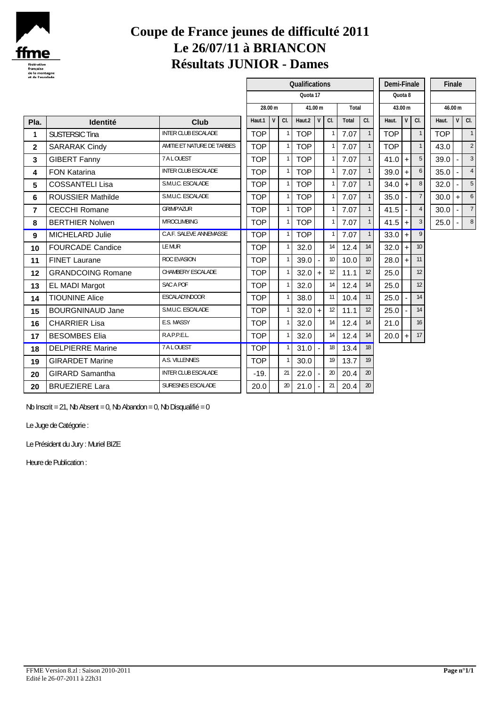

## **Coupe de France jeunes de difficulté 2011 Le 26/07/11 à BRIANCON Résultats JUNIOR - Dames**

|                |                          |                            |            |         |     | Qualifications | Demi-Finale |              |       | Finale          |            |           |                 |            |        |                |
|----------------|--------------------------|----------------------------|------------|---------|-----|----------------|-------------|--------------|-------|-----------------|------------|-----------|-----------------|------------|--------|----------------|
|                |                          |                            |            |         |     | Quota 17       |             | Quota 8      |       |                 |            |           |                 |            |        |                |
|                |                          |                            |            | 28.00 m |     |                | 41.00 m     |              | Total |                 |            | 43.00 m   |                 | 46.00 m    |        |                |
| Pla.           | <b>Identité</b>          | Club                       | Haut.1     | V       | CI. | Haut.2         | V           | CI.          | Total | CI.             | Haut.      |           | $V$ CI.         | Haut.      |        | $V$ CI.        |
| 1              | <b>SUSTERSIC Tina</b>    | <b>INTER CLUB ESCALADE</b> | <b>TOP</b> |         |     | <b>TOP</b>     |             | $\mathbf{1}$ | 7.07  | $\mathbf{1}$    | <b>TOP</b> |           | $\mathbf{1}$    | <b>TOP</b> |        | $\overline{1}$ |
| $\overline{2}$ | <b>SARARAK Cindy</b>     | AMITIE ET NATURE DE TARBES | <b>TOP</b> |         | 1   | <b>TOP</b>     |             | $\mathbf{1}$ | 7.07  |                 | <b>TOP</b> |           | $\mathbf{1}$    | 43.0       |        | $\tilde{z}$    |
| 3              | <b>GIBERT Fanny</b>      | 7 A L OUEST                | <b>TOP</b> |         | 1   | <b>TOP</b>     |             | $\mathbf{1}$ | 7.07  | $\mathbf{1}$    | 41.0       | $+$       | 5               | 39.0       | $\sim$ | ÷              |
| 4              | <b>FON Katarina</b>      | <b>INTER CLUB ESCALADE</b> | <b>TOP</b> |         |     | <b>TOP</b>     |             | $\mathbf{1}$ | 7.07  |                 | 39.0       | $+$       | 6               | 35.0       |        |                |
| 5              | <b>COSSANTELI Lisa</b>   | S.M.U.C. ESCALADE          | <b>TOP</b> |         | 1   | <b>TOP</b>     |             | $\mathbf{1}$ | 7.07  | $\mathbf{1}$    | 34.0       | $\ddot{}$ | 8               | 32.0       | $\sim$ | ŗ              |
| 6              | <b>ROUSSIER Mathilde</b> | S.M.U.C. ESCALADE          | <b>TOP</b> |         |     | <b>TOP</b>     |             | $\mathbf{1}$ | 7.07  |                 | 35.0       |           | $7\overline{ }$ | 30.0       | $+$    | $\epsilon$     |
| $\overline{7}$ | <b>CECCHI Romane</b>     | <b>GRIMP'AZUR</b>          | <b>TOP</b> |         |     | <b>TOP</b>     |             |              | 7.07  | $\mathbf{1}$    | 41.5       |           | $\overline{4}$  | 30.0       | $\sim$ | - 7            |
| 8              | <b>BERTHIER Nolwen</b>   | M'ROCLIMBING               | <b>TOP</b> |         |     | <b>TOP</b>     |             |              | 7.07  |                 | 41.5       | $\ddot{}$ | 3               | 25.0       | ha i   | $\vert$ {      |
| 9              | <b>MICHELARD Julie</b>   | C.A.F. SALEVE ANNEMASSE    | <b>TOP</b> |         |     | <b>TOP</b>     |             |              | 7.07  |                 | 33.0       | $+$       | 9               |            |        |                |
| 10             | <b>FOURCADE Candice</b>  | LE MUR                     | <b>TOP</b> |         |     | 32.0           |             | 14           | 12.4  | 14              | 32.0       | $+$       | 10 <sup>1</sup> |            |        |                |
| 11             | <b>FINET Laurane</b>     | ROC EVASION                | <b>TOP</b> |         |     | 39.0           | $\sim$      | 10           | 10.0  | 10 <sup>°</sup> | 28.0       | $+$       | 11              |            |        |                |
| 12             | <b>GRANDCOING Romane</b> | CHAMBERY ESCALADE          | <b>TOP</b> |         |     | 32.0           | $\ddot{+}$  | 12           | 11.1  | 12              | 25.0       |           | 12              |            |        |                |
| 13             | <b>EL MADI Margot</b>    | SAC A POF                  | <b>TOP</b> |         |     | 32.0           |             | 14           | 12.4  | 14              | 25.0       |           | 12              |            |        |                |
| 14             | <b>TIOUNINE Alice</b>    | ESCALAD'INDOOR             | <b>TOP</b> |         |     | 38.0           |             | 11           | 10.4  | 11              | 25.0       |           | 14              |            |        |                |
| 15             | <b>BOURGNINAUD Jane</b>  | S.M.U.C. ESCALADE          | <b>TOP</b> |         |     | 32.0           | $+$         | 12           | 11.1  | 12              | 25.0       |           | 14              |            |        |                |
| 16             | <b>CHARRIER Lisa</b>     | E.S. MASSY                 | <b>TOP</b> |         |     | 32.0           |             | 14           | 12.4  | 14              | 21.0       |           | 16              |            |        |                |
| 17             | <b>BESOMBES Elia</b>     | R.A.P.P.E.L.               | <b>TOP</b> |         |     | 32.0           |             | 14           | 12.4  | 14              | 20.0       | $+$       | 17              |            |        |                |
| 18             | <b>DELPIERRE Marine</b>  | 7 A L OUEST                | <b>TOP</b> |         |     | 31.0           |             | 18           | 13.4  | 18              |            |           |                 |            |        |                |
| 19             | <b>GIRARDET Marine</b>   | A.S. VILLENNES             | <b>TOP</b> |         |     | 30.0           |             | 19           | 13.7  | 19              |            |           |                 |            |        |                |
| 20             | <b>GIRARD Samantha</b>   | <b>INTER CLUB ESCALADE</b> | $-19.$     |         | 21  | 22.0           |             | 20           | 20.4  | 20              |            |           |                 |            |        |                |
| 20             | <b>BRUEZIERE Lara</b>    | SURESNES ESCALADE          | 20.0       |         | 20  | 21.0           |             | 21           | 20.4  | 20              |            |           |                 |            |        |                |

Nb Inscrit = 21, Nb Absent = 0, Nb Abandon = 0, Nb Disqualifié = 0

Le Juge de Catégorie :

Le Président du Jury : Muriel BIZE